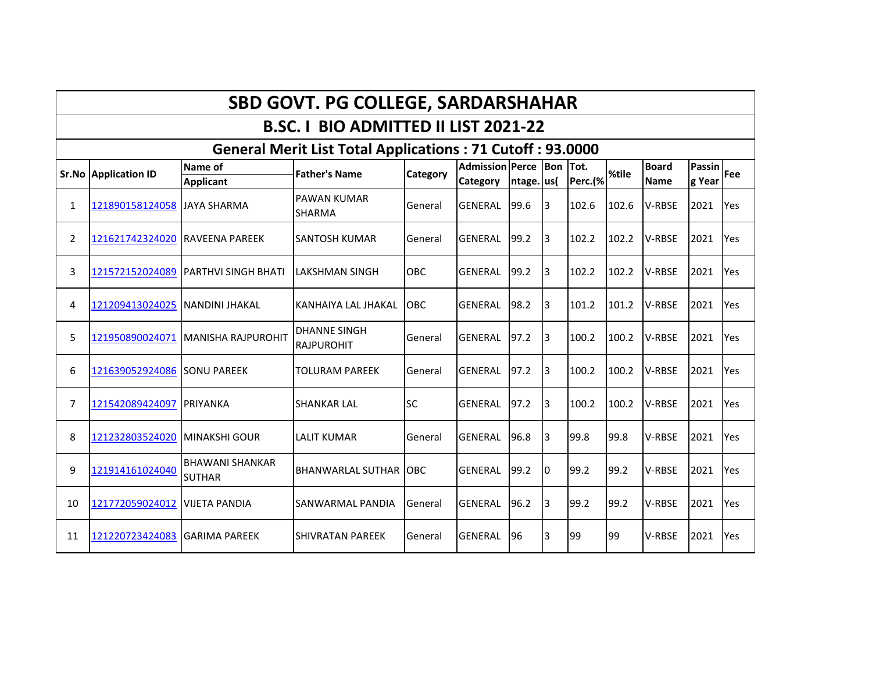## **SBD GOVT. PG COLLEGE, SARDARSHAHAR**

## **B.SC. I BIO ADMITTED II LIST 2021-22**

## **General Merit List Total Applications : 71 Cutoff : 93.0000**

|    | <b>Sr.No Application ID</b> | Name of                                 | Father's Name                            | <b>Category</b> | <b>Admission Perce</b> |            | <b>Bon</b> | Tot.    | %tile | <b>Board</b>  | Passin | Fee        |
|----|-----------------------------|-----------------------------------------|------------------------------------------|-----------------|------------------------|------------|------------|---------|-------|---------------|--------|------------|
|    |                             | <b>Applicant</b>                        |                                          |                 | Category               | ntage. us( |            | Perc.(% |       | <b>Name</b>   | g Year |            |
| 1  | 121890158124058             | <b>JAYA SHARMA</b>                      | <b>PAWAN KUMAR</b><br><b>SHARMA</b>      | General         | <b>GENERAL</b>         | 99.6       | 3          | 102.6   | 102.6 | <b>V-RBSE</b> | 2021   | Yes        |
| 2  | 121621742324020             | IRAVEENA PAREEK                         | <b>SANTOSH KUMAR</b>                     | General         | <b>GENERAL</b>         | 99.2       | 3          | 102.2   | 102.2 | <b>V-RBSE</b> | 2021   | Yes        |
| 3  | 121572152024089             | PARTHVI SINGH BHATI                     | <b>LAKSHMAN SINGH</b>                    | <b>OBC</b>      | <b>GENERAL</b>         | 99.2       | 3          | 102.2   | 102.2 | <b>V-RBSE</b> | 2021   | <b>Yes</b> |
| 4  | 121209413024025             | NANDINI JHAKAL                          | KANHAIYA LAL JHAKAL                      | <b>OBC</b>      | <b>GENERAL</b>         | 98.2       | 3          | 101.2   | 101.2 | <b>V-RBSE</b> | 2021   | Yes        |
| 5  | 121950890024071             | <b>MANISHA RAJPUROHIT</b>               | <b>DHANNE SINGH</b><br><b>RAJPUROHIT</b> | General         | <b>GENERAL</b>         | 97.2       | 3          | 100.2   | 100.2 | <b>V-RBSE</b> | 2021   | Yes        |
| 6  | 121639052924086             | <b>SONU PAREEK</b>                      | TOLURAM PAREEK                           | General         | <b>GENERAL</b>         | 97.2       | 3          | 100.2   | 100.2 | <b>V-RBSE</b> | 2021   | Yes        |
| 7  | 121542089424097             | <b>PRIYANKA</b>                         | <b>SHANKAR LAL</b>                       | <b>SC</b>       | <b>GENERAL</b>         | 97.2       | 3          | 100.2   | 100.2 | V-RBSE        | 2021   | Yes        |
| 8  | 121232803524020             | <b>MINAKSHI GOUR</b>                    | <b>LALIT KUMAR</b>                       | General         | <b>GENERAL</b>         | 96.8       | 3          | 99.8    | 99.8  | <b>V-RBSE</b> | 2021   | Yes        |
| 9  | 121914161024040             | <b>BHAWANI SHANKAR</b><br><b>SUTHAR</b> | <b>BHANWARLAL SUTHAR LOBC</b>            |                 | <b>GENERAL</b>         | 99.2       | 10         | 99.2    | 99.2  | <b>V-RBSE</b> | 2021   | Yes        |
| 10 | 121772059024012             | <b>VIJETA PANDIA</b>                    | SANWARMAL PANDIA                         | General         | <b>GENERAL</b>         | 96.2       | 3          | 99.2    | 99.2  | V-RBSE        | 2021   | Yes        |
| 11 | 121220723424083             | <b>GARIMA PAREEK</b>                    | <b>SHIVRATAN PAREEK</b>                  | General         | <b>GENERAL</b>         | 96         | 3          | 99      | 99    | V-RBSE        | 2021   | Yes        |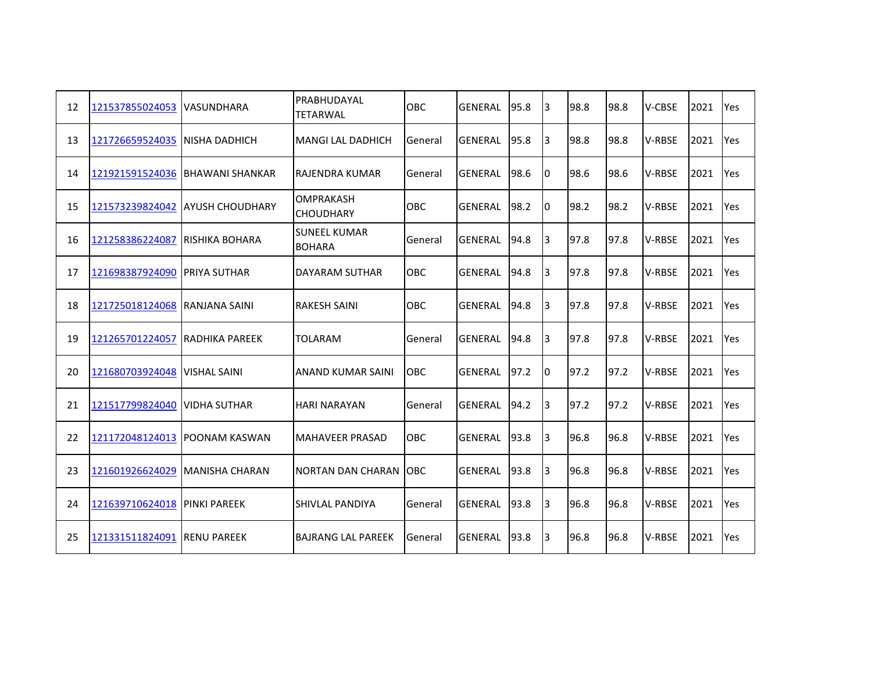| 12 | 121537855024053 | <b>VASUNDHARA</b>      | PRABHUDAYAL<br><b>TETARWAL</b> | <b>OBC</b> | <b>GENERAL</b> | 95.8 | <sup>3</sup> | 98.8 | 98.8 | <b>V-CBSE</b> | 2021 | Yes |
|----|-----------------|------------------------|--------------------------------|------------|----------------|------|--------------|------|------|---------------|------|-----|
| 13 | 121726659524035 | NISHA DADHICH          | <b>MANGI LAL DADHICH</b>       | General    | GENERAL        | 95.8 | l3           | 98.8 | 98.8 | <b>V-RBSE</b> | 2021 | Yes |
| 14 | 121921591524036 | IBHAWANI SHANKAR       | RAJENDRA KUMAR                 | General    | <b>GENERAL</b> | 98.6 | Iо           | 98.6 | 98.6 | <b>V-RBSE</b> | 2021 | Yes |
| 15 | 121573239824042 | <b>AYUSH CHOUDHARY</b> | OMPRAKASH<br><b>CHOUDHARY</b>  | <b>OBC</b> | <b>GENERAL</b> | 98.2 | 10           | 98.2 | 98.2 | V-RBSE        | 2021 | Yes |
| 16 | 121258386224087 | RISHIKA BOHARA         | ISUNEEL KUMAR<br><b>BOHARA</b> | General    | <b>GENERAL</b> | 94.8 | 13           | 97.8 | 97.8 | V-RBSE        | 2021 | Yes |
| 17 | 121698387924090 | <b>PRIYA SUTHAR</b>    | DAYARAM SUTHAR                 | OBC        | <b>GENERAL</b> | 94.8 | $\vert$ 3    | 97.8 | 97.8 | <b>V-RBSE</b> | 2021 | Yes |
| 18 | 121725018124068 | RANJANA SAINI          | <b>RAKESH SAINI</b>            | OBC        | <b>GENERAL</b> | 94.8 | $ 3\rangle$  | 97.8 | 97.8 | V-RBSE        | 2021 | Yes |
| 19 | 121265701224057 | <b>RADHIKA PAREEK</b>  | <b>TOLARAM</b>                 | General    | <b>GENERAL</b> | 94.8 | 13           | 97.8 | 97.8 | V-RBSE        | 2021 | Yes |
| 20 | 121680703924048 | <b>VISHAL SAINI</b>    | <b>ANAND KUMAR SAINI</b>       | OBC        | <b>GENERAL</b> | 97.2 | I0           | 97.2 | 97.2 | <b>V-RBSE</b> | 2021 | Yes |
| 21 | 121517799824040 | <b>VIDHA SUTHAR</b>    | <b>HARI NARAYAN</b>            | General    | <b>GENERAL</b> | 94.2 | 13           | 97.2 | 97.2 | V-RBSE        | 2021 | Yes |
| 22 | 121172048124013 | <b>POONAM KASWAN</b>   | <b>MAHAVEER PRASAD</b>         | <b>OBC</b> | GENERAL        | 93.8 | Iз           | 96.8 | 96.8 | V-RBSE        | 2021 | Yes |
| 23 | 121601926624029 | <b>MANISHA CHARAN</b>  | NORTAN DAN CHARAN              | <b>OBC</b> | <b>GENERAL</b> | 93.8 | 13           | 96.8 | 96.8 | <b>V-RBSE</b> | 2021 | Yes |
| 24 | 121639710624018 | <b>PINKI PAREEK</b>    | ISHIVLAL PANDIYA               | General    | <b>GENERAL</b> | 93.8 | $ 3\rangle$  | 96.8 | 96.8 | <b>V-RBSE</b> | 2021 | Yes |
| 25 | 121331511824091 | <b>RENU PAREEK</b>     | <b>BAJRANG LAL PAREEK</b>      | General    | <b>GENERAL</b> | 93.8 | 13           | 96.8 | 96.8 | V-RBSE        | 2021 | Yes |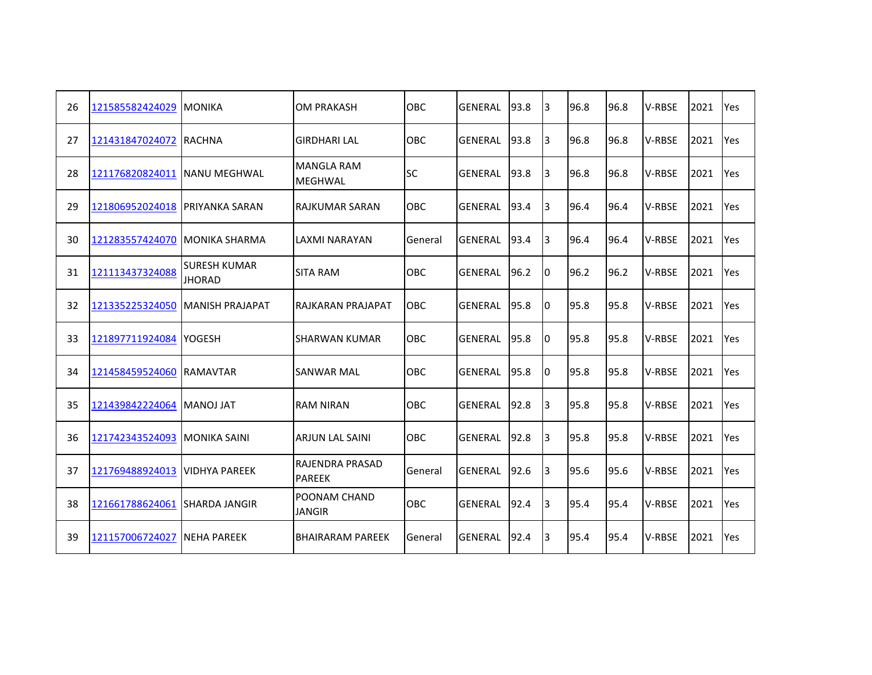| 26 | 121585582424029 | <b>MONIKA</b>                        | <b>OM PRAKASH</b>                   | <b>OBC</b> | <b>GENERAL</b> | 93.8 | 3   | 96.8 | 96.8 | V-RBSE        | 2021 | Yes |
|----|-----------------|--------------------------------------|-------------------------------------|------------|----------------|------|-----|------|------|---------------|------|-----|
| 27 | 121431847024072 | <b>RACHNA</b>                        | <b>GIRDHARI LAL</b>                 | OBC        | <b>GENERAL</b> | 93.8 | 3   | 96.8 | 96.8 | V-RBSE        | 2021 | Yes |
| 28 | 121176820824011 | INANU MEGHWAL                        | <b>MANGLA RAM</b><br><b>MEGHWAL</b> | <b>SC</b>  | <b>GENERAL</b> | 93.8 | 3   | 96.8 | 96.8 | V-RBSE        | 2021 | Yes |
| 29 | 121806952024018 | <b>IPRIYANKA SARAN</b>               | <b>RAJKUMAR SARAN</b>               | OBC        | <b>GENERAL</b> | 93.4 | I3  | 96.4 | 96.4 | V-RBSE        | 2021 | Yes |
| 30 | 121283557424070 | IMONIKA SHARMA                       | LAXMI NARAYAN                       | General    | <b>GENERAL</b> | 93.4 | 3   | 96.4 | 96.4 | V-RBSE        | 2021 | Yes |
| 31 | 121113437324088 | <b>SURESH KUMAR</b><br><b>JHORAD</b> | <b>SITA RAM</b>                     | OBC        | <b>GENERAL</b> | 96.2 | 0   | 96.2 | 96.2 | V-RBSE        | 2021 | Yes |
| 32 | 121335225324050 | <b>IMANISH PRAJAPAT</b>              | <b>RAJKARAN PRAJAPAT</b>            | <b>OBC</b> | <b>GENERAL</b> | 95.8 | Iо  | 95.8 | 95.8 | V-RBSE        | 2021 | Yes |
| 33 | 121897711924084 | <b>YOGESH</b>                        | <b>SHARWAN KUMAR</b>                | <b>OBC</b> | <b>GENERAL</b> | 95.8 | I0  | 95.8 | 95.8 | <b>V-RBSE</b> | 2021 | Yes |
| 34 | 121458459524060 | <b>RAMAVTAR</b>                      | <b>SANWAR MAL</b>                   | OBC        | <b>GENERAL</b> | 95.8 | IO. | 95.8 | 95.8 | V-RBSE        | 2021 | Yes |
| 35 | 121439842224064 | <b>MANOJ JAT</b>                     | <b>RAM NIRAN</b>                    | OBC        | <b>GENERAL</b> | 92.8 | 3   | 95.8 | 95.8 | V-RBSE        | 2021 | Yes |
| 36 | 121742343524093 | <b>MONIKA SAINI</b>                  | <b>ARJUN LAL SAINI</b>              | OBC        | <b>GENERAL</b> | 92.8 | 3   | 95.8 | 95.8 | V-RBSE        | 2021 | Yes |
| 37 | 121769488924013 | VIDHYA PAREEK                        | RAJENDRA PRASAD<br><b>PAREEK</b>    | General    | <b>GENERAL</b> | 92.6 | 3   | 95.6 | 95.6 | V-RBSE        | 2021 | Yes |
| 38 | 121661788624061 | ISHARDA JANGIR                       | POONAM CHAND<br><b>JANGIR</b>       | OBC        | <b>GENERAL</b> | 92.4 | 3   | 95.4 | 95.4 | V-RBSE        | 2021 | Yes |
| 39 | 121157006724027 | <b>NEHA PAREEK</b>                   | <b>BHAIRARAM PAREEK</b>             | General    | <b>GENERAL</b> | 92.4 | 3   | 95.4 | 95.4 | V-RBSE        | 2021 | Yes |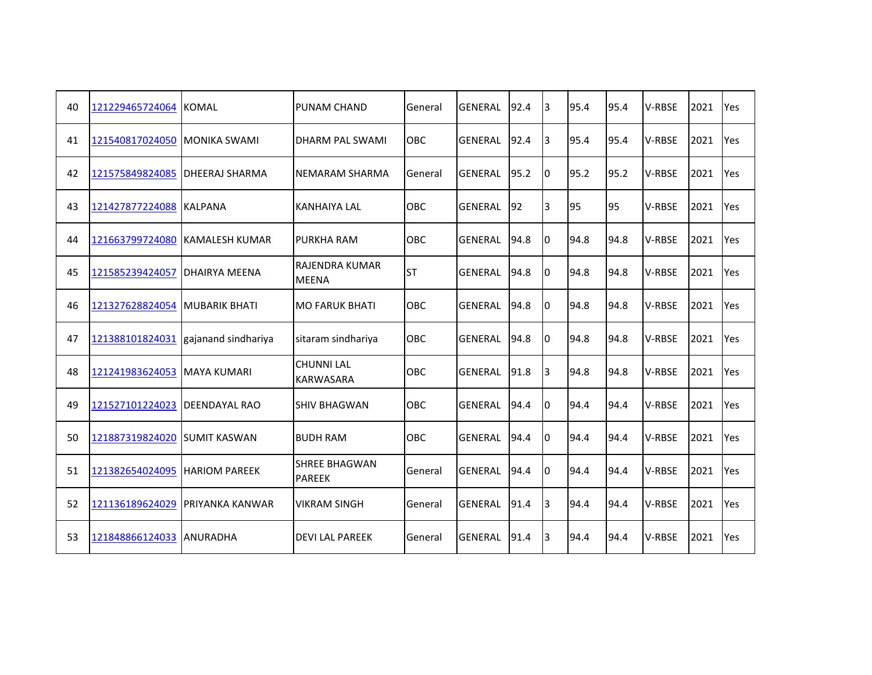| 40 | 121229465724064 | <b>KOMAL</b>         | <b>PUNAM CHAND</b>                    | General    | <b>GENERAL</b> | 92.4 | I3             | 95.4 | 95.4 | V-RBSE        | 2021 | Yes |
|----|-----------------|----------------------|---------------------------------------|------------|----------------|------|----------------|------|------|---------------|------|-----|
| 41 | 121540817024050 | <b>MONIKA SWAMI</b>  | DHARM PAL SWAMI                       | OBC        | <b>GENERAL</b> | 92.4 | 3              | 95.4 | 95.4 | V-RBSE        | 2021 | Yes |
| 42 | 121575849824085 | IDHEERAJ SHARMA      | INEMARAM SHARMA                       | General    | <b>GENERAL</b> | 95.2 | IО             | 95.2 | 95.2 | V-RBSE        | 2021 | Yes |
| 43 | 121427877224088 | <b>KALPANA</b>       | <b>KANHAIYA LAL</b>                   | OBC        | <b>GENERAL</b> | 92   | 3              | 95   | 95   | V-RBSE        | 2021 | Yes |
| 44 | 121663799724080 | KAMALESH KUMAR       | <b>PURKHA RAM</b>                     | OBC        | <b>GENERAL</b> | 94.8 | IО             | 94.8 | 94.8 | V-RBSE        | 2021 | Yes |
| 45 | 121585239424057 | DHAIRYA MEENA        | RAJENDRA KUMAR<br><b>MEENA</b>        | <b>ST</b>  | <b>GENERAL</b> | 94.8 | 10             | 94.8 | 94.8 | <b>V-RBSE</b> | 2021 | Yes |
| 46 | 121327628824054 | <b>MUBARIK BHATI</b> | IMO FARUK BHATI                       | <b>OBC</b> | <b>GENERAL</b> | 94.8 | Iо             | 94.8 | 94.8 | V-RBSE        | 2021 | Yes |
| 47 | 121388101824031 | gajanand sindhariya  | sitaram sindhariya                    | <b>OBC</b> | <b>GENERAL</b> | 94.8 | I0             | 94.8 | 94.8 | <b>V-RBSE</b> | 2021 | Yes |
| 48 | 121241983624053 | <b>MAYA KUMARI</b>   | <b>CHUNNI LAL</b><br><b>KARWASARA</b> | OBC        | <b>GENERAL</b> | 91.8 | l3             | 94.8 | 94.8 | V-RBSE        | 2021 | Yes |
| 49 | 121527101224023 | <b>DEENDAYAL RAO</b> | <b>SHIV BHAGWAN</b>                   | OBC        | GENERAL        | 94.4 | $\overline{0}$ | 94.4 | 94.4 | V-RBSE        | 2021 | Yes |
| 50 | 121887319824020 | <b>SUMIT KASWAN</b>  | <b>BUDH RAM</b>                       | OBC        | <b>GENERAL</b> | 94.4 | IО             | 94.4 | 94.4 | V-RBSE        | 2021 | Yes |
| 51 | 121382654024095 | <b>HARIOM PAREEK</b> | <b>SHREE BHAGWAN</b><br><b>PAREEK</b> | General    | <b>GENERAL</b> | 94.4 | IО             | 94.4 | 94.4 | V-RBSE        | 2021 | Yes |
| 52 | 121136189624029 | IPRIYANKA KANWAR     | <b>VIKRAM SINGH</b>                   | General    | <b>GENERAL</b> | 91.4 | 13             | 94.4 | 94.4 | V-RBSE        | 2021 | Yes |
| 53 | 121848866124033 | <b>ANURADHA</b>      | <b>DEVI LAL PAREEK</b>                | General    | <b>GENERAL</b> | 91.4 | I3             | 94.4 | 94.4 | V-RBSE        | 2021 | Yes |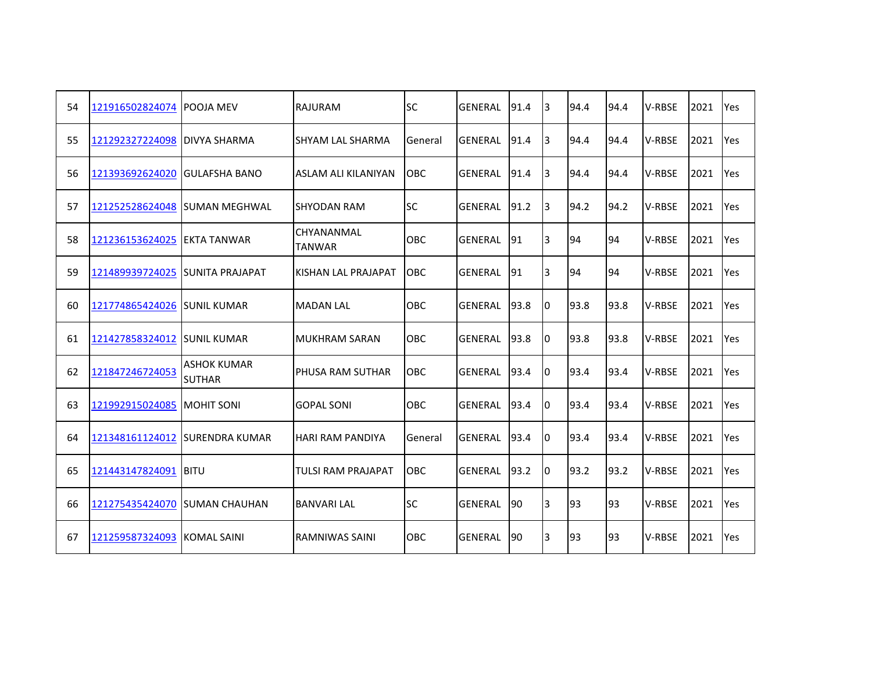| 54 | 121916502824074 | POOJA MEV                           | RAJURAM                            | <b>SC</b>  | <b>GENERAL</b> | 91.4 | l3             | 94.4 | 94.4 | <b>V-RBSE</b> | 2021 | Yes        |
|----|-----------------|-------------------------------------|------------------------------------|------------|----------------|------|----------------|------|------|---------------|------|------------|
| 55 | 121292327224098 | <b>DIVYA SHARMA</b>                 | <b>SHYAM LAL SHARMA</b>            | General    | <b>GENERAL</b> | 91.4 | IЗ             | 94.4 | 94.4 | V-RBSE        | 2021 | Yes        |
| 56 | 121393692624020 | <b>I</b> GULAFSHA BANO              | <b>ASLAM ALI KILANIYAN</b>         | OBC        | <b>GENERAL</b> | 91.4 | 3              | 94.4 | 94.4 | V-RBSE        | 2021 | Yes        |
| 57 | 121252528624048 | <b>ISUMAN MEGHWAL</b>               | <b>SHYODAN RAM</b>                 | <b>SC</b>  | <b>GENERAL</b> | 91.2 | I3             | 94.2 | 94.2 | <b>V-RBSE</b> | 2021 | Yes        |
| 58 | 121236153624025 | <b>EKTA TANWAR</b>                  | <b>CHYANANMAL</b><br><b>TANWAR</b> | OBC        | <b>GENERAL</b> | 91   | 3              | 94   | 94   | V-RBSE        | 2021 | Yes        |
| 59 | 121489939724025 | <b>SUNITA PRAJAPAT</b>              | <b>KISHAN LAL PRAJAPAT</b>         | <b>OBC</b> | <b>GENERAL</b> | 91   | 3              | 94   | 94   | <b>V-RBSE</b> | 2021 | <b>Yes</b> |
| 60 | 121774865424026 | <b>SUNIL KUMAR</b>                  | <b>MADAN LAL</b>                   | <b>OBC</b> | <b>GENERAL</b> | 93.8 | Iо             | 93.8 | 93.8 | V-RBSE        | 2021 | Yes        |
| 61 | 121427858324012 | <b>SUNIL KUMAR</b>                  | <b>MUKHRAM SARAN</b>               | <b>OBC</b> | <b>GENERAL</b> | 93.8 | IO.            | 93.8 | 93.8 | <b>V-RBSE</b> | 2021 | Yes        |
| 62 | 121847246724053 | <b>ASHOK KUMAR</b><br><b>SUTHAR</b> | <b>PHUSA RAM SUTHAR</b>            | OBC        | <b>GENERAL</b> | 93.4 | IO.            | 93.4 | 93.4 | V-RBSE        | 2021 | Yes        |
| 63 | 121992915024085 | <b>MOHIT SONI</b>                   | <b>GOPAL SONI</b>                  | OBC        | <b>GENERAL</b> | 93.4 | Iо             | 93.4 | 93.4 | V-RBSE        | 2021 | Yes        |
| 64 | 121348161124012 | <b>SURENDRA KUMAR</b>               | <b>HARI RAM PANDIYA</b>            | General    | <b>GENERAL</b> | 93.4 | 0              | 93.4 | 93.4 | V-RBSE        | 2021 | Yes        |
| 65 | 121443147824091 | <b>BITU</b>                         | <b>TULSI RAM PRAJAPAT</b>          | OBC        | <b>GENERAL</b> | 93.2 | 10             | 93.2 | 93.2 | V-RBSE        | 2021 | Yes        |
| 66 | 121275435424070 | <b>I</b> SUMAN CHAUHAN              | <b>BANVARI LAL</b>                 | <b>SC</b>  | <b>GENERAL</b> | 90   | $\overline{3}$ | 93   | 93   | <b>V-RBSE</b> | 2021 | Yes        |
| 67 | 121259587324093 | <b>KOMAL SAINI</b>                  | <b>RAMNIWAS SAINI</b>              | OBC        | <b>GENERAL</b> | 190  | 3              | 93   | 93   | V-RBSE        | 2021 | Yes        |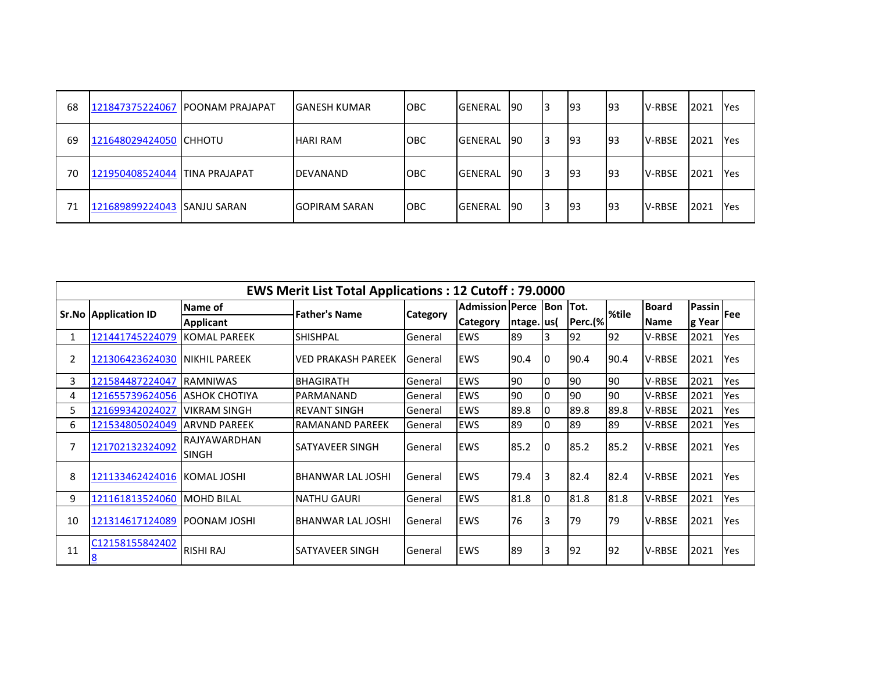| 68 | 121847375224067        | <b>IPOONAM PRAJAPAT</b> | IGANESH KUMAR        | <b>OBC</b> | <b>GENERAL</b>  | 190 | 13 | 93  | 193 | <b>V-RBSE</b> | 2021 | <b>Yes</b>  |
|----|------------------------|-------------------------|----------------------|------------|-----------------|-----|----|-----|-----|---------------|------|-------------|
| 69 | 121648029424050 CHHOTU |                         | <b>HARI RAM</b>      | ІОВС       | <b>GENERAL</b>  | 190 | 3  | 193 | 193 | <b>V-RBSE</b> | 2021 | <b>Yes</b>  |
| 70 | 121950408524044        | <b>ITINA PRAJAPAT</b>   | DEVANAND             | ІОВС       | <b>IGENERAL</b> | 190 | 13 | 193 | 193 | <b>V-RBSE</b> | 2021 | <b>Yes</b>  |
| 71 | 121689899224043        | <b>ISANJU SARAN</b>     | <b>GOPIRAM SARAN</b> | <b>OBC</b> | <b>IGENERAL</b> | 190 | 13 | 193 | 193 | <b>V-RBSE</b> | 2021 | <b>IYes</b> |

| <b>EWS Merit List Total Applications: 12 Cutoff: 79.0000</b> |                             |                                     |                           |          |                          |            |    |         |       |               |                   |            |
|--------------------------------------------------------------|-----------------------------|-------------------------------------|---------------------------|----------|--------------------------|------------|----|---------|-------|---------------|-------------------|------------|
|                                                              | <b>Sr.No Application ID</b> | Name of                             | Father's Name             | Category | Admission Perce Bon Tot. |            |    |         | %tile | <b>Board</b>  | <b>Passin</b> Fee |            |
|                                                              |                             | <b>Applicant</b>                    |                           |          | <b>Category</b>          | ntage. us( |    | Perc.(% |       | <b>Name</b>   | g Year            |            |
|                                                              | 121441745224079             | <b>KOMAL PAREEK</b>                 | <b>SHISHPAL</b>           | General  | <b>EWS</b>               | 89         | 3  | 92      | 92    | <b>V-RBSE</b> | 2021              | Yes        |
| 2                                                            | 121306423624030             | INIKHIL PAREEK                      | <b>VED PRAKASH PAREEK</b> | General  | <b>EWS</b>               | 90.4       |    | 90.4    | 90.4  | V-RBSE        | 2021              | Yes        |
| 3                                                            | 121584487224047             | <b>IRAMNIWAS</b>                    | IBHAGIRATH                | General  | <b>EWS</b>               | 90         | Iо | 90      | 90    | <b>V-RBSE</b> | 2021              | Yes        |
| 4                                                            | 121655739624056             | <b>JASHOK CHOTIYA</b>               | PARMANAND                 | General  | <b>EWS</b>               | 190        | 10 | 90      | 90    | V-RBSE        | 2021              | Yes        |
| 5.                                                           | 121699342024027             | <b>VIKRAM SINGH</b>                 | <b>REVANT SINGH</b>       | General  | <b>EWS</b>               | 89.8       | I0 | 89.8    | 89.8  | V-RBSE        | 2021              | Yes        |
| 6                                                            | 121534805024049             | <b>ARVND PAREEK</b>                 | <b>RAMANAND PAREEK</b>    | General  | <b>EWS</b>               | 89         | 10 | 89      | 89    | V-RBSE        | 2021              | Yes        |
|                                                              | 121702132324092             | <b>RAJYAWARDHAN</b><br><b>SINGH</b> | ISATYAVEER SINGH          | General  | lews                     | 85.2       | I۵ | 85.2    | 85.2  | <b>V-RBSE</b> | 2021              | <b>Yes</b> |
| 8                                                            | 121133462424016             | IKOMAL JOSHI                        | <b>BHANWAR LAL JOSHI</b>  | General  | <b>EWS</b>               | 79.4       | 3  | 82.4    | 82.4  | <b>V-RBSE</b> | 2021              | Yes        |
| 9                                                            | 121161813524060             | <b>MOHD BILAL</b>                   | <b>NATHU GAURI</b>        | General  | <b>EWS</b>               | 81.8       | I٥ | 81.8    | 81.8  | V-RBSE        | 2021              | Yes        |
| 10                                                           | 121314617124089             | IPOONAM JOSHI                       | <b>BHANWAR LAL JOSHI</b>  | General  | <b>EWS</b>               | 176        | 13 | 79      | 79    | <b>V-RBSE</b> | 2021              | Yes        |
| 11                                                           | C12158155842402             | RISHI RAJ                           | SATYAVEER SINGH           | General  | <b>EWS</b>               | 89         | 3  | 192     | 92    | <b>V-RBSE</b> | 2021              | Yes        |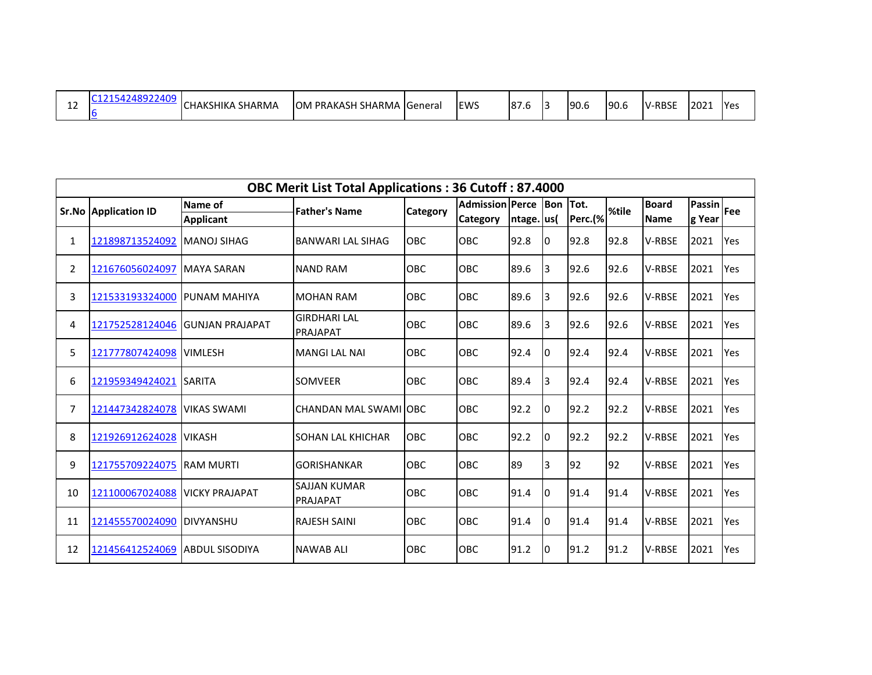|    | <b>OBC Merit List Total Applications: 36 Cutoff: 87.4000</b><br>Admission Perce Bon Tot. |                        |                                        |                 |                 |            |    |         |       |               |        |            |  |  |
|----|------------------------------------------------------------------------------------------|------------------------|----------------------------------------|-----------------|-----------------|------------|----|---------|-------|---------------|--------|------------|--|--|
|    | <b>Sr.No Application ID</b>                                                              | Name of                | <b>Father's Name</b>                   | <b>Category</b> |                 |            |    |         | %tile | <b>Board</b>  | Passin | <b>Fee</b> |  |  |
|    |                                                                                          | <b>Applicant</b>       | <b>OBC</b><br><b>BANWARI LAL SIHAG</b> |                 | <b>Category</b> | ntage. us( |    | Perc.(% |       | Name          | g Year |            |  |  |
| 1  | 121898713524092                                                                          | <b>MANOJ SIHAG</b>     |                                        |                 | <b>OBC</b>      | 92.8       | 10 | 92.8    | 92.8  | <b>V-RBSE</b> | 2021   | Yes        |  |  |
| 2  | 121676056024097                                                                          | <b>MAYA SARAN</b>      | <b>NAND RAM</b>                        | <b>OBC</b>      | <b>OBC</b>      | 89.6       | l3 | 92.6    | 92.6  | <b>V-RBSE</b> | 2021   | Yes        |  |  |
| 3  | 121533193324000                                                                          | <b>PUNAM MAHIYA</b>    | <b>MOHAN RAM</b>                       | OBC             | <b>OBC</b>      | 89.6       | l3 | 92.6    | 92.6  | <b>V-RBSE</b> | 2021   | Yes        |  |  |
| 4  | 121752528124046                                                                          | <b>GUNJAN PRAJAPAT</b> | <b>GIRDHARI LAL</b><br>PRAJAPAT        | <b>OBC</b>      | <b>OBC</b>      | 89.6       | 3  | 92.6    | 92.6  | <b>V-RBSE</b> | 2021   | <b>Yes</b> |  |  |
| 5  | 121777807424098                                                                          | <b>VIMLESH</b>         | <b>MANGI LAL NAI</b>                   | <b>OBC</b>      | <b>OBC</b>      | 92.4       | 10 | 92.4    | 92.4  | <b>V-RBSE</b> | 2021   | Yes        |  |  |
| 6  | 121959349424021                                                                          | <b>SARITA</b>          | <b>SOMVEER</b>                         | OBC.            | <b>OBC</b>      | 89.4       | 3  | 92.4    | 92.4  | <b>V-RBSE</b> | 2021   | Yes        |  |  |
| 7  | 121447342824078                                                                          | <b>VIKAS SWAMI</b>     | CHANDAN MAL SWAMI OBC                  |                 | <b>OBC</b>      | 92.2       | I0 | 92.2    | 92.2  | <b>V-RBSE</b> | 2021   | Yes        |  |  |
| 8  | 121926912624028                                                                          | <b>VIKASH</b>          | <b>SOHAN LAL KHICHAR</b>               | OBC             | OBC             | 92.2       | I٥ | 92.2    | 92.2  | <b>V-RBSE</b> | 2021   | Yes        |  |  |
| 9  | 121755709224075                                                                          | <b>RAM MURTI</b>       | <b>GORISHANKAR</b>                     | OBC             | OBC             | 89         | l3 | 92      | 92    | <b>V-RBSE</b> | 2021   | Yes        |  |  |
| 10 | 121100067024088                                                                          | <b>VICKY PRAJAPAT</b>  | <b>SAJJAN KUMAR</b><br>PRAJAPAT        | OBC             | <b>OBC</b>      | 91.4       | I٥ | 91.4    | 91.4  | <b>V-RBSE</b> | 2021   | Yes        |  |  |
| 11 | 121455570024090                                                                          | IDIVYANSHU             | <b>RAJESH SAINI</b>                    | OBC             | <b>OBC</b>      | 91.4       | 10 | 91.4    | 91.4  | <b>V-RBSE</b> | 2021   | Yes        |  |  |
| 12 | 121456412524069                                                                          | ABDUL SISODIYA         | <b>NAWAB ALI</b>                       | OBC             | <b>OBC</b>      | 91.2       | 10 | 91.2    | 91.2  | <b>V-RBSE</b> | 2021   | Yes        |  |  |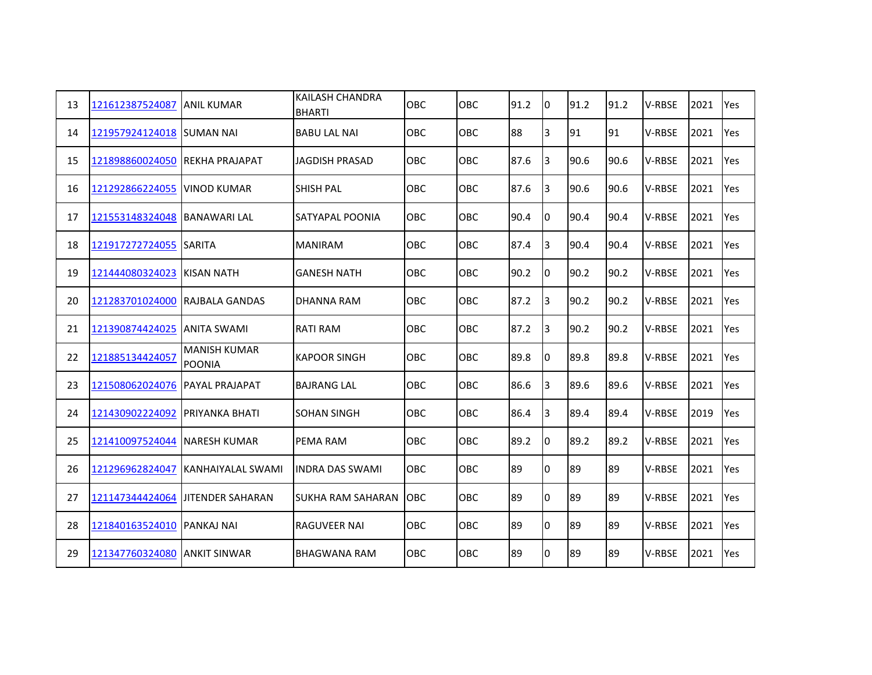| 13 | 121612387524087 | <b>ANIL KUMAR</b>             | <b>KAILASH CHANDRA</b><br><b>BHARTI</b> | <b>OBC</b> | <b>OBC</b> | 91.2 | I0 | 91.2 | 91.2 | <b>V-RBSE</b> | 2021 | Yes |
|----|-----------------|-------------------------------|-----------------------------------------|------------|------------|------|----|------|------|---------------|------|-----|
| 14 | 121957924124018 | <b>SUMAN NAI</b>              | <b>BABU LAL NAI</b>                     | OBC        | OBC        | 88   | Iз | 91   | 91   | V-RBSE        | 2021 | Yes |
| 15 | 121898860024050 | <b>REKHA PRAJAPAT</b>         | <b>JAGDISH PRASAD</b>                   | <b>OBC</b> | <b>OBC</b> | 87.6 | 13 | 90.6 | 90.6 | <b>V-RBSE</b> | 2021 | Yes |
| 16 | 121292866224055 | <b>VINOD KUMAR</b>            | <b>SHISH PAL</b>                        | <b>OBC</b> | OBC        | 87.6 | l3 | 90.6 | 90.6 | V-RBSE        | 2021 | Yes |
| 17 | 121553148324048 | <b>BANAWARI LAL</b>           | <b>SATYAPAL POONIA</b>                  | OBC        | OBC        | 90.4 | Iо | 90.4 | 90.4 | V-RBSE        | 2021 | Yes |
| 18 | 121917272724055 | <b>SARITA</b>                 | <b>MANIRAM</b>                          | <b>OBC</b> | <b>OBC</b> | 87.4 | l3 | 90.4 | 90.4 | <b>V-RBSE</b> | 2021 | Yes |
| 19 | 121444080324023 | KISAN NATH                    | <b>GANESH NATH</b>                      | OBC        | <b>OBC</b> | 90.2 | IО | 90.2 | 90.2 | V-RBSE        | 2021 | Yes |
| 20 | 121283701024000 | <b>RAJBALA GANDAS</b>         | DHANNA RAM                              | <b>OBC</b> | <b>OBC</b> | 87.2 | 13 | 90.2 | 90.2 | <b>V-RBSE</b> | 2021 | Yes |
| 21 | 121390874424025 | IANITA SWAMI                  | <b>RATI RAM</b>                         | OBC        | OBC        | 87.2 | 13 | 90.2 | 90.2 | V-RBSE        | 2021 | Yes |
| 22 | 121885134424057 | <b>MANISH KUMAR</b><br>POONIA | <b>KAPOOR SINGH</b>                     | <b>OBC</b> | <b>OBC</b> | 89.8 | IО | 89.8 | 89.8 | V-RBSE        | 2021 | Yes |
| 23 | 121508062024076 | <b>PAYAL PRAJAPAT</b>         | <b>BAJRANG LAL</b>                      | <b>OBC</b> | <b>OBC</b> | 86.6 | IЗ | 89.6 | 89.6 | V-RBSE        | 2021 | Yes |
| 24 | 121430902224092 | PRIYANKA BHATI                | <b>SOHAN SINGH</b>                      | OBC        | OBC        | 86.4 | 13 | 89.4 | 89.4 | V-RBSE        | 2019 | Yes |
| 25 | 121410097524044 | <b>NARESH KUMAR</b>           | <b>PEMA RAM</b>                         | <b>OBC</b> | <b>OBC</b> | 89.2 | l0 | 89.2 | 89.2 | V-RBSE        | 2021 | Yes |
| 26 | 121296962824047 | İKANHAIYALAL SWAMI            | <b>INDRA DAS SWAMI</b>                  | <b>OBC</b> | <b>OBC</b> | 89   | I0 | 89   | 89   | <b>V-RBSE</b> | 2021 | Yes |
| 27 | 121147344424064 | <b>JITENDER SAHARAN</b>       | SUKHA RAM SAHARAN                       | OBC        | <b>OBC</b> | 89   | 10 | 89   | 89   | V-RBSE        | 2021 | Yes |
| 28 | 121840163524010 | <b>PANKAJ NAI</b>             | <b>RAGUVEER NAI</b>                     | OBC        | OBC        | 89   | l0 | 89   | 89   | V-RBSE        | 2021 | Yes |
| 29 | 121347760324080 | <b>ANKIT SINWAR</b>           | BHAGWANA RAM                            | OBC.       | <b>OBC</b> | 89   | I0 | 89   | 89   | V-RBSE        | 2021 | Yes |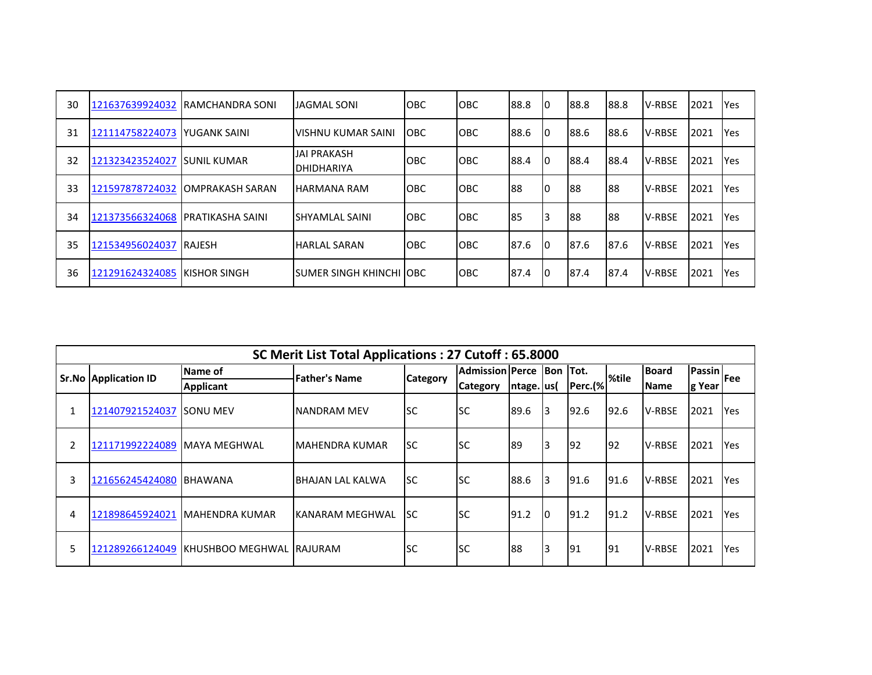| 30 | 121637639924032 | <b>IRAMCHANDRA SONI</b> | <b>JAGMAL SONI</b>               | <b>IOBC</b> | <b>OBC</b>  | 88.8 | 10 | 88.8 | 88.8 | <b>V-RBSE</b> | 2021 | <b>Yes</b>  |
|----|-----------------|-------------------------|----------------------------------|-------------|-------------|------|----|------|------|---------------|------|-------------|
| 31 | 121114758224073 | <b>IYUGANK SAINI</b>    | IVISHNU KUMAR SAINI              | <b>OBC</b>  | <b>IOBC</b> | 88.6 | 10 | 88.6 | 88.6 | <b>V-RBSE</b> | 2021 | <b>IYes</b> |
| 32 | 121323423524027 | <b>SUNIL KUMAR</b>      | <b>JAI PRAKASH</b><br>DHIDHARIYA | <b>IOBC</b> | <b>OBC</b>  | 88.4 | IО | 88.4 | 88.4 | <b>V-RBSE</b> | 2021 | <b>Yes</b>  |
| 33 | 121597878724032 | <b>IOMPRAKASH SARAN</b> | <b>HARMANA RAM</b>               | <b>IOBC</b> | <b>OBC</b>  | 88   | IО | 188  | 188  | <b>V-RBSE</b> | 2021 | <b>Yes</b>  |
| 34 | 121373566324068 | <b>PRATIKASHA SAINI</b> | ISHYAMLAL SAINI                  | <b>IOBC</b> | <b>OBC</b>  | 185  | 3  | 188  | 188  | <b>V-RBSE</b> | 2021 | <b>Yes</b>  |
| 35 | 121534956024037 | <b>RAJESH</b>           | <b>HARLAL SARAN</b>              | <b>IOBC</b> | <b>OBC</b>  | 87.6 | IО | 87.6 | 87.6 | <b>V-RBSE</b> | 2021 | <b>Yes</b>  |
| 36 | 121291624324085 | IKISHOR SINGH           | ISUMER SINGH KHINCHI IOBC        |             | <b>IOBC</b> | 87.4 | 10 | 87.4 | 87.4 | <b>V-RBSE</b> | 2021 | <b>IYes</b> |

|                | SC Merit List Total Applications: 27 Cutoff: 65.8000 |                            |                      |                 |                          |            |    |         |       |               |        |            |  |
|----------------|------------------------------------------------------|----------------------------|----------------------|-----------------|--------------------------|------------|----|---------|-------|---------------|--------|------------|--|
|                | <b>Sr.No   Application ID</b>                        | <b>Name of</b>             | <b>Father's Name</b> | <b>Category</b> | Admission Perce Bon Tot. |            |    |         | %tile | <b>Board</b>  | Passin | <b>Fee</b> |  |
|                |                                                      | <b>Applicant</b>           |                      |                 | <b>Category</b>          | ntage. us( |    | Perc.(% |       | <b>Name</b>   | g Year |            |  |
|                | 121407921524037                                      | <b>SONU MEV</b>            | <b>NANDRAM MEV</b>   | lsc             | <b>SC</b>                | 89.6       | 13 | 92.6    | 92.6  | <b>V-RBSE</b> | 2021   | Yes        |  |
| $\overline{2}$ | 121171992224089                                      | <b>IMAYA MEGHWAL</b>       | MAHENDRA KUMAR       | lsc             | lsc                      | 89         | l3 | 192     | 192   | <b>V-RBSE</b> | 2021   | <b>Yes</b> |  |
| 3              | 121656245424080 BHAWANA                              |                            | BHAJAN LAL KALWA     | lsc             | lsc                      | 88.6       | 13 | 91.6    | 91.6  | V-RBSE        | 2021   | <b>Yes</b> |  |
| 4              | 121898645924021                                      | IMAHENDRA KUMAR            | IKANARAM MEGHWAL     | <b>SC</b>       | lsc                      | 91.2       | 10 | 191.2   | 91.2  | V-RBSE        | 2021   | Yes        |  |
| 5              | 121289266124049                                      | IKHUSHBOO MEGHWAL IRAJURAM |                      | lsc             | lsc                      | 88         | 13 | 191     | 191   | <b>V-RBSE</b> | 2021   | Yes        |  |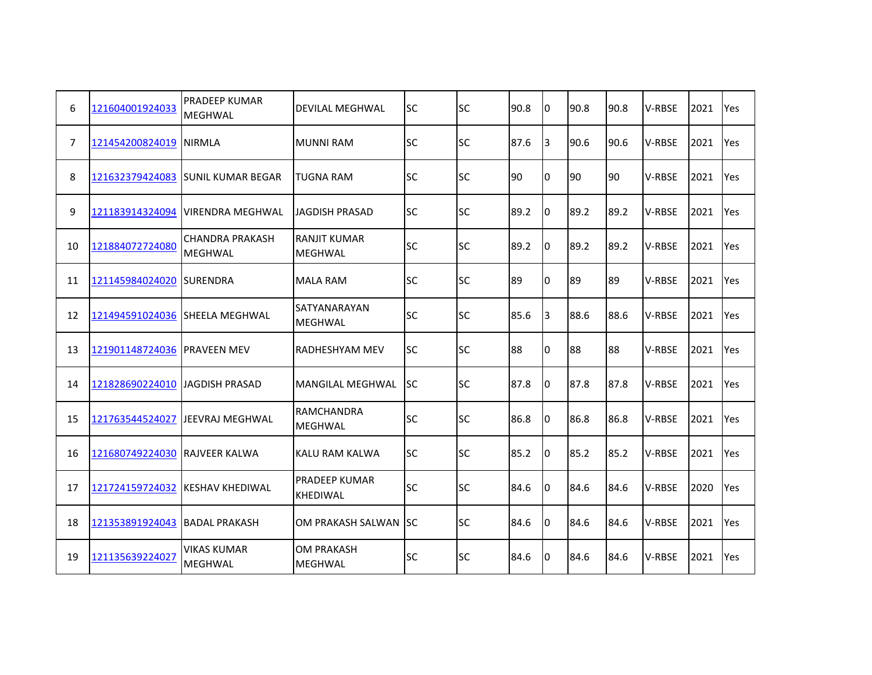| 6  | 121604001924033 | PRADEEP KUMAR<br><b>MEGHWAL</b>          | DEVILAL MEGHWAL                       | <b>SC</b>   | <b>SC</b> | 90.8 | Iо             | 90.8 | 90.8 | <b>V-RBSE</b> | 2021 | Yes |
|----|-----------------|------------------------------------------|---------------------------------------|-------------|-----------|------|----------------|------|------|---------------|------|-----|
| 7  | 121454200824019 | <b>NIRMLA</b>                            | <b>MUNNI RAM</b>                      | <b>SC</b>   | <b>SC</b> | 87.6 | 13             | 90.6 | 90.6 | V-RBSE        | 2021 | Yes |
| 8  | 121632379424083 | ISUNIL KUMAR BEGAR                       | <b>TUGNA RAM</b>                      | <b>SC</b>   | <b>SC</b> | 90   | Iо             | 90   | 90   | V-RBSE        | 2021 | Yes |
| 9  | 121183914324094 | <b>VIRENDRA MEGHWAL</b>                  | <b>JAGDISH PRASAD</b>                 | <b>SC</b>   | <b>SC</b> | 89.2 | $\overline{0}$ | 89.2 | 89.2 | V-RBSE        | 2021 | Yes |
| 10 | 121884072724080 | <b>CHANDRA PRAKASH</b><br><b>MEGHWAL</b> | <b>RANJIT KUMAR</b><br><b>MEGHWAL</b> | <b>SC</b>   | <b>SC</b> | 89.2 | 10             | 89.2 | 89.2 | V-RBSE        | 2021 | Yes |
| 11 | 121145984024020 | <b>SURENDRA</b>                          | <b>MALA RAM</b>                       | <b>SC</b>   | <b>SC</b> | 89   | Iо             | 89   | 89   | V-RBSE        | 2021 | Yes |
| 12 | 121494591024036 | SHEELA MEGHWAL                           | <b>SATYANARAYAN</b><br><b>MEGHWAL</b> | <b>SC</b>   | <b>SC</b> | 85.6 | Iз             | 88.6 | 88.6 | V-RBSE        | 2021 | Yes |
| 13 | 121901148724036 | <b>PRAVEEN MEV</b>                       | <b>RADHESHYAM MEV</b>                 | <b>SC</b>   | <b>SC</b> | 88   | l0             | 88   | 88   | V-RBSE        | 2021 | Yes |
| 14 | 121828690224010 | <b>JAGDISH PRASAD</b>                    | <b>MANGILAL MEGHWAL</b>               | <b>SC</b>   | <b>SC</b> | 87.8 | Iо             | 87.8 | 87.8 | V-RBSE        | 2021 | Yes |
| 15 | 121763544524027 | <b>JEEVRAJ MEGHWAL</b>                   | <b>RAMCHANDRA</b><br><b>MEGHWAL</b>   | <b>SC</b>   | <b>SC</b> | 86.8 | Iо             | 86.8 | 86.8 | <b>V-RBSE</b> | 2021 | Yes |
| 16 | 121680749224030 | RAJVEER KALWA                            | KALU RAM KALWA                        | <b>SC</b>   | <b>SC</b> | 85.2 | 10             | 85.2 | 85.2 | V-RBSE        | 2021 | Yes |
| 17 | 121724159724032 | <b>KESHAV KHEDIWAL</b>                   | PRADEEP KUMAR<br><b>KHEDIWAL</b>      | <b>SC</b>   | <b>SC</b> | 84.6 | 10             | 84.6 | 84.6 | V-RBSE        | 2020 | Yes |
| 18 | 121353891924043 | <b>BADAL PRAKASH</b>                     | OM PRAKASH SALWAN                     | <b>I</b> sc | <b>SC</b> | 84.6 | l0             | 84.6 | 84.6 | V-RBSE        | 2021 | Yes |
| 19 | 121135639224027 | <b>VIKAS KUMAR</b><br><b>MEGHWAL</b>     | <b>OM PRAKASH</b><br><b>MEGHWAL</b>   | <b>SC</b>   | <b>SC</b> | 84.6 | 10             | 84.6 | 84.6 | V-RBSE        | 2021 | Yes |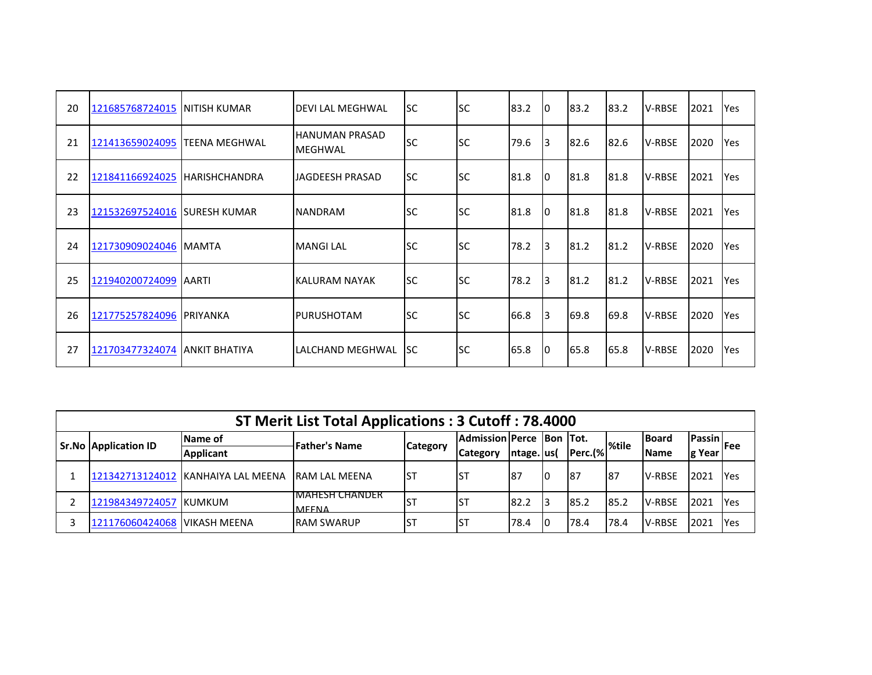| 20 | 121685768724015 | <b>INITISH KUMAR</b>  | IDEVI LAL MEGHWAL         | <b>SC</b> | <b>SC</b> | 83.2 | 10 | 83.2 | 83.2 | <b>V-RBSE</b> | 2021 | Yes        |
|----|-----------------|-----------------------|---------------------------|-----------|-----------|------|----|------|------|---------------|------|------------|
| 21 | 121413659024095 | <b>TEENA MEGHWAL</b>  | HANUMAN PRASAD<br>MEGHWAL | <b>SC</b> | <b>SC</b> | 79.6 | l3 | 82.6 | 82.6 | <b>V-RBSE</b> | 2020 | Yes        |
| 22 | 121841166924025 | <b>IHARISHCHANDRA</b> | JAGDEESH PRASAD           | <b>SC</b> | <b>SC</b> | 81.8 | I0 | 81.8 | 81.8 | V-RBSE        | 2021 | Yes        |
| 23 | 121532697524016 | <b>SURESH KUMAR</b>   | <b>NANDRAM</b>            | lsc       | <b>SC</b> | 81.8 | Iо | 81.8 | 81.8 | <b>V-RBSE</b> | 2021 | Yes        |
| 24 | 121730909024046 | <b>IMAMTA</b>         | <b>MANGILAL</b>           | <b>SC</b> | <b>SC</b> | 78.2 | l3 | 81.2 | 81.2 | <b>V-RBSE</b> | 2020 | <b>Yes</b> |
| 25 | 121940200724099 | <b>AARTI</b>          | IKALURAM NAYAK            | <b>SC</b> | <b>SC</b> | 78.2 | l3 | 81.2 | 81.2 | <b>V-RBSE</b> | 2021 | Yes        |
| 26 | 121775257824096 | <b>PRIYANKA</b>       | <b>PURUSHOTAM</b>         | lsc       | lsc       | 66.8 | l3 | 69.8 | 69.8 | <b>V-RBSE</b> | 2020 | Yes        |
| 27 | 121703477324074 | <b>JANKIT BHATIYA</b> | lLALCHAND MEGHWAL         | lsc.      | <b>SC</b> | 65.8 | 10 | 65.8 | 65.8 | <b>V-RBSE</b> | 2020 | Yes        |

| ST Merit List Total Applications: 3 Cutoff: 78.4000 |                              |                                    |                                 |                 |                          |              |    |             |       |               |        |                    |
|-----------------------------------------------------|------------------------------|------------------------------------|---------------------------------|-----------------|--------------------------|--------------|----|-------------|-------|---------------|--------|--------------------|
|                                                     | <b>Sr.No Application ID</b>  | Name of                            | <b>Father's Name</b>            | <b>Category</b> | Admission Perce Bon Tot. |              |    | Perc.(%     | %tile | <b>Board</b>  |        | <b>IPassin</b> Fee |
|                                                     |                              | <b>Applicant</b>                   |                                 |                 | <b>Category</b>          | Intage. Jus( |    |             |       | <b>IName</b>  | g Year |                    |
|                                                     |                              | 121342713124012 KANHAIYA LAL MEENA | <b>IRAM LAL MEENA</b>           | Ist             | Ist                      | 187          | 10 | 187         | 187   | <b>V-RBSE</b> | 2021   | <b>IYes</b>        |
|                                                     | 121984349724057 KUMKUM       |                                    | IMAHESH CHANDER<br><b>MFFNA</b> |                 | IST                      | 82.2         |    | <b>85.2</b> | 85.2  | <b>V-RBSE</b> | 2021   | <b>IYes</b>        |
|                                                     | 121176060424068 VIKASH MEENA |                                    | <b>RAM SWARUP</b>               | .ST             | <b>IST</b>               | 78.4         | ١O | 78.4        | 78.4  | <b>V-RBSE</b> | 2021   | <b>IYes</b>        |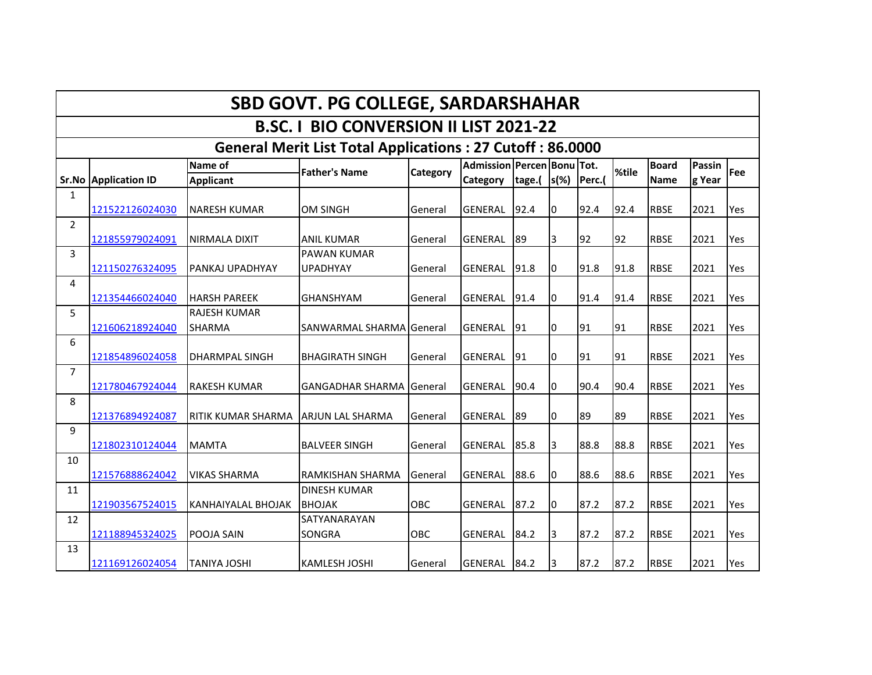|                                                                  | SBD GOVT. PG COLLEGE, SARDARSHAHAR            |                                       |                                       |          |                |                |                       |        |        |             |        |     |
|------------------------------------------------------------------|-----------------------------------------------|---------------------------------------|---------------------------------------|----------|----------------|----------------|-----------------------|--------|--------|-------------|--------|-----|
|                                                                  | <b>B.SC. I BIO CONVERSION II LIST 2021-22</b> |                                       |                                       |          |                |                |                       |        |        |             |        |     |
| <b>General Merit List Total Applications: 27 Cutoff: 86.0000</b> |                                               |                                       |                                       |          |                |                |                       |        |        |             |        |     |
|                                                                  |                                               | Name of                               | Admission Percen Bonu Tot.            |          |                |                | <b>Board</b><br>%tile |        | Passin | Fee         |        |     |
|                                                                  | <b>Sr.No Application ID</b>                   | <b>Applicant</b>                      | <b>Father's Name</b>                  | Category | Category       | tage. $($ s(%) |                       | Perc.( |        | <b>Name</b> | g Year |     |
| $\mathbf{1}$                                                     | 121522126024030                               | <b>NARESH KUMAR</b>                   | <b>OM SINGH</b>                       | General  | <b>GENERAL</b> | 92.4           | Iо                    | 92.4   | 92.4   | <b>RBSE</b> | 2021   | Yes |
| 2                                                                | 121855979024091                               | NIRMALA DIXIT                         | ANIL KUMAR                            | General  | <b>GENERAL</b> | 89             | l3                    | 92     | 92     | <b>RBSE</b> | 2021   | Yes |
| $\overline{3}$                                                   | 121150276324095                               | <b>IPANKAJ UPADHYAY</b>               | <b>PAWAN KUMAR</b><br><b>UPADHYAY</b> | General  | <b>GENERAL</b> | 91.8           | 10                    | 91.8   | 91.8   | <b>RBSE</b> | 2021   | Yes |
| 4                                                                | 121354466024040                               | <b>HARSH PAREEK</b>                   | <b>GHANSHYAM</b>                      | General  | <b>GENERAL</b> | 91.4           | 10                    | 91.4   | 91.4   | <b>RBSE</b> | 2021   | Yes |
| 5                                                                | 121606218924040                               | <b>RAJESH KUMAR</b><br><b>ISHARMA</b> | SANWARMAL SHARMA General              |          | <b>GENERAL</b> | 91             | 10                    | 91     | 91     | <b>RBSE</b> | 2021   | Yes |
| 6                                                                | 121854896024058                               | <b>DHARMPAL SINGH</b>                 | <b>BHAGIRATH SINGH</b>                | General  | <b>GENERAL</b> | 91             | I0                    | 91     | 91     | <b>RBSE</b> | 2021   | Yes |
| $\overline{7}$                                                   | 121780467924044                               | <b>RAKESH KUMAR</b>                   | <b>GANGADHAR SHARMA</b>               | General  | <b>GENERAL</b> | 90.4           | Iо                    | 90.4   | 90.4   | <b>RBSE</b> | 2021   | Yes |
| 8                                                                | 121376894924087                               | <b>RITIK KUMAR SHARMA</b>             | <b>ARJUN LAL SHARMA</b>               | General  | <b>GENERAL</b> | 89             | 10                    | 89     | 89     | <b>RBSE</b> | 2021   | Yes |
| 9                                                                | 121802310124044                               | <b>MAMTA</b>                          | <b>BALVEER SINGH</b>                  | General  | GENERAL        | 85.8           | l3                    | 88.8   | 88.8   | <b>RBSE</b> | 2021   | Yes |
| 10                                                               | 121576888624042                               | <b>VIKAS SHARMA</b>                   | <b>RAMKISHAN SHARMA</b>               | General  | <b>GENERAL</b> | 88.6           | 10                    | 88.6   | 88.6   | <b>RBSE</b> | 2021   | Yes |
| 11                                                               | 121903567524015                               | <b>KANHAIYALAL BHOJAK</b>             | <b>DINESH KUMAR</b><br><b>BHOJAK</b>  | OBC      | <b>GENERAL</b> | 87.2           | Iо                    | 87.2   | 87.2   | <b>RBSE</b> | 2021   | Yes |
| 12                                                               | 121188945324025                               | POOJA SAIN                            | SATYANARAYAN<br>SONGRA                | OBC      | GENERAL        | 84.2           | $\vert$ 3             | 87.2   | 87.2   | <b>RBSE</b> | 2021   | Yes |
| 13                                                               | 121169126024054                               | <b>TANIYA JOSHI</b>                   | <b>KAMLESH JOSHI</b>                  | General  | GENERAL        | 84.2           | 13                    | 87.2   | 87.2   | <b>RBSE</b> | 2021   | Yes |